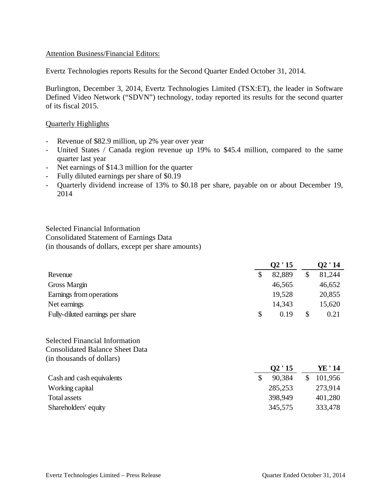### Attention Business/Financial Editors:

Evertz Technologies reports Results for the Second Quarter Ended October 31, 2014.

Burlington, December 3, 2014, Evertz Technologies Limited (TSX:ET), the leader in Software Defined Video Network ("SDVN") technology, today reported its results for the second quarter of its fiscal 2015.

### Quarterly Highlights

- Revenue of \$82.9 million, up 2% year over year
- United States / Canada region revenue up 19% to \$45.4 million, compared to the same quarter last year
- Net earnings of \$14.3 million for the quarter
- Fully diluted earnings per share of \$0.19
- Quarterly dividend increase of 13% to \$0.18 per share, payable on or about December 19, 2014

Selected Financial Information Consolidated Statement of Earnings Data (in thousands of dollars, except per share amounts)

|                                  | Q2'15 |        |    | O2 ' 14 |  |  |
|----------------------------------|-------|--------|----|---------|--|--|
| Revenue                          |       | 82,889 |    | 81,244  |  |  |
| Gross Margin                     |       | 46,565 |    | 46,652  |  |  |
| Earnings from operations         |       | 19,528 |    | 20,855  |  |  |
| Net earnings                     |       | 14,343 |    | 15,620  |  |  |
| Fully-diluted earnings per share | \$    | 0.19   | \$ | 0.21    |  |  |

Selected Financial Information Consolidated Balance Sheet Data (in thousands of dollars)

|                           | Q2'15   | YE ' 14 |
|---------------------------|---------|---------|
| Cash and cash equivalents | 90.384  | 101,956 |
| Working capital           | 285,253 | 273,914 |
| Total assets              | 398,949 | 401,280 |
| Shareholders' equity      | 345,575 | 333,478 |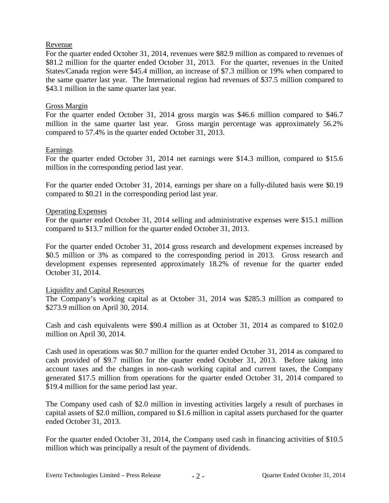## Revenue

For the quarter ended October 31, 2014, revenues were \$82.9 million as compared to revenues of \$81.2 million for the quarter ended October 31, 2013. For the quarter, revenues in the United States/Canada region were \$45.4 million, an increase of \$7.3 million or 19% when compared to the same quarter last year. The International region had revenues of \$37.5 million compared to \$43.1 million in the same quarter last year.

## Gross Margin

For the quarter ended October 31, 2014 gross margin was \$46.6 million compared to \$46.7 million in the same quarter last year. Gross margin percentage was approximately 56.2% compared to 57.4% in the quarter ended October 31, 2013.

## Earnings

For the quarter ended October 31, 2014 net earnings were \$14.3 million, compared to \$15.6 million in the corresponding period last year.

For the quarter ended October 31, 2014, earnings per share on a fully-diluted basis were \$0.19 compared to \$0.21 in the corresponding period last year.

## Operating Expenses

For the quarter ended October 31, 2014 selling and administrative expenses were \$15.1 million compared to \$13.7 million for the quarter ended October 31, 2013.

For the quarter ended October 31, 2014 gross research and development expenses increased by \$0.5 million or 3% as compared to the corresponding period in 2013. Gross research and development expenses represented approximately 18.2% of revenue for the quarter ended October 31, 2014.

## Liquidity and Capital Resources

The Company's working capital as at October 31, 2014 was \$285.3 million as compared to \$273.9 million on April 30, 2014.

Cash and cash equivalents were \$90.4 million as at October 31, 2014 as compared to \$102.0 million on April 30, 2014.

Cash used in operations was \$0.7 million for the quarter ended October 31, 2014 as compared to cash provided of \$9.7 million for the quarter ended October 31, 2013. Before taking into account taxes and the changes in non-cash working capital and current taxes, the Company generated \$17.5 million from operations for the quarter ended October 31, 2014 compared to \$19.4 million for the same period last year.

The Company used cash of \$2.0 million in investing activities largely a result of purchases in capital assets of \$2.0 million, compared to \$1.6 million in capital assets purchased for the quarter ended October 31, 2013.

For the quarter ended October 31, 2014, the Company used cash in financing activities of \$10.5 million which was principally a result of the payment of dividends.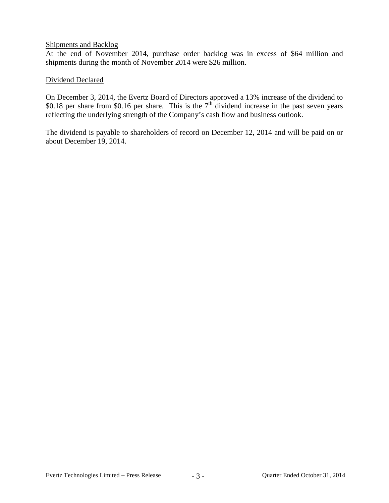### Shipments and Backlog

At the end of November 2014, purchase order backlog was in excess of \$64 million and shipments during the month of November 2014 were \$26 million.

## Dividend Declared

On December 3, 2014, the Evertz Board of Directors approved a 13% increase of the dividend to \$0.18 per share from \$0.16 per share. This is the  $7<sup>th</sup>$  dividend increase in the past seven years reflecting the underlying strength of the Company's cash flow and business outlook.

The dividend is payable to shareholders of record on December 12, 2014 and will be paid on or about December 19, 2014.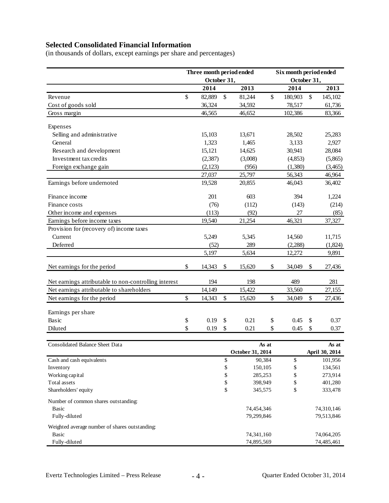# **Selected Consolidated Financial Information**

(in thousands of dollars, except earnings per share and percentages)

|                                                       |          | Three month period ended<br>October 31, |               |                  | Six month period ended<br>October 31, |          |                |            |
|-------------------------------------------------------|----------|-----------------------------------------|---------------|------------------|---------------------------------------|----------|----------------|------------|
|                                                       |          | 2014                                    |               | 2013             |                                       | 2014     |                | 2013       |
| Revenue                                               | \$       | 82,889                                  | \$            | 81,244           | \$                                    | 180,903  | \$             | 145,102    |
| Cost of goods sold                                    |          | 36,324                                  |               | 34,592           |                                       | 78,517   |                | 61,736     |
| Gross margin                                          |          | 46,565                                  |               | 46,652           |                                       | 102,386  |                | 83,366     |
|                                                       |          |                                         |               |                  |                                       |          |                |            |
| Expenses                                              |          |                                         |               |                  |                                       |          |                |            |
| Selling and administrative                            |          | 15,103                                  |               | 13,671           |                                       | 28,502   |                | 25,283     |
| General                                               |          | 1,323                                   |               | 1,465            |                                       | 3,133    |                | 2,927      |
| Research and development                              |          | 15,121                                  |               | 14,625           |                                       | 30,941   |                | 28,084     |
| Investment tax credits                                |          | (2,387)                                 |               | (3,008)          |                                       | (4, 853) |                | (5,865)    |
| Foreign exchange gain                                 |          | (2,123)                                 |               | (956)            |                                       | (1,380)  |                | (3,465)    |
|                                                       |          | 27,037                                  |               | 25,797           |                                       | 56,343   |                | 46,964     |
| Earnings before undernoted                            |          | 19,528                                  |               | 20,855           |                                       | 46,043   |                | 36,402     |
| Finance income                                        |          | 201                                     |               | 603              |                                       | 394      |                | 1,224      |
| Finance costs                                         |          | (76)                                    |               | (112)            |                                       | (143)    |                | (214)      |
| Other income and expenses                             |          | (113)                                   |               | (92)             |                                       | 27       |                | (85)       |
| Earnings before income taxes                          |          | 19,540                                  |               | 21,254           |                                       | 46,321   |                | 37,327     |
| Provision for (recovery of) income taxes              |          |                                         |               |                  |                                       |          |                |            |
| Current                                               |          | 5,249                                   |               | 5,345            |                                       | 14,560   |                | 11,715     |
| Deferred                                              |          | (52)                                    |               | 289              |                                       | (2, 288) |                | (1,824)    |
|                                                       |          | 5,197                                   |               | 5,634            |                                       | 12,272   |                | 9,891      |
| Net earnings for the period                           | \$       | 14,343                                  | \$            | 15,620           | \$                                    | 34,049   | \$             | 27,436     |
| Net earnings attributable to non-controlling interest |          | 194                                     |               | 198              |                                       | 489      |                | 281        |
| Net earnings attributable to shareholders             |          | 14,149                                  |               | 15,422           |                                       | 33,560   |                | 27,155     |
| Net earnings for the period                           | \$       | 14,343                                  | \$            | 15,620           | \$                                    | 34,049   | \$             | 27,436     |
| Earnings per share                                    |          |                                         |               |                  |                                       |          |                |            |
| Basic                                                 |          | 0.19                                    | \$            | 0.21             |                                       | 0.45     |                | 0.37       |
|                                                       | \$<br>\$ |                                         |               |                  | \$<br>\$                              |          | \$             |            |
| Diluted                                               |          | 0.19                                    | \$            | 0.21             |                                       | 0.45     | \$             | 0.37       |
| <b>Consolidated Balance Sheet Data</b>                |          |                                         |               |                  | As at                                 |          |                | As at      |
|                                                       |          |                                         |               | October 31, 2014 |                                       |          | April 30, 2014 |            |
| Cash and cash equivalents                             |          |                                         | \$            | 90,384           |                                       | \$       |                | 101,956    |
| Inventory                                             |          |                                         | \$            | 150,105          |                                       | \$       |                | 134,561    |
| Working capital                                       |          |                                         | \$<br>285,253 |                  |                                       | \$       |                | 273,914    |
| Total assets                                          |          |                                         | \$            | 398,949          |                                       | \$       |                | 401,280    |
| Shareholders' equity                                  |          |                                         | \$            | 345,575          |                                       | \$       |                | 333,478    |
| Number of common shares outstanding:                  |          |                                         |               |                  |                                       |          |                |            |
| <b>Basic</b>                                          |          |                                         |               | 74,454,346       |                                       |          |                | 74,310,146 |
| Fully-diluted                                         |          |                                         |               | 79,299,846       |                                       |          |                | 79,513,846 |
| Weighted average number of shares outstanding:        |          |                                         |               |                  |                                       |          |                |            |
| Basic                                                 |          |                                         |               | 74,341,160       |                                       |          |                | 74,064,205 |
| Fully-diluted                                         |          |                                         |               | 74,895,569       |                                       |          |                | 74,485,461 |